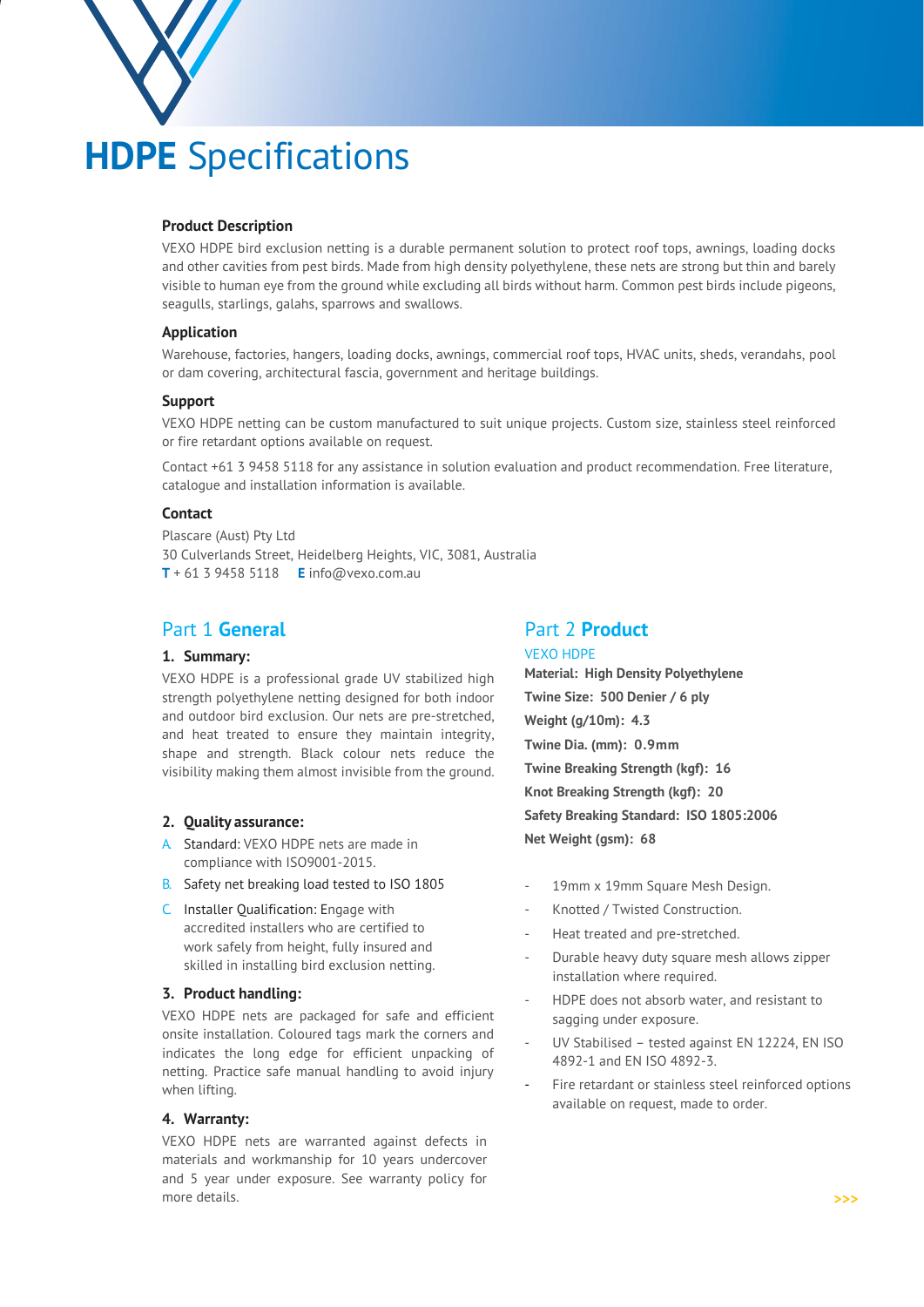

# **Product Description**

VEXO HDPE bird exclusion netting is a durable permanent solution to protect roof tops, awnings, loading docks and other cavities from pest birds. Made from high density polyethylene, these nets are strong but thin and barely visible to human eye from the ground while excluding all birds without harm. Common pest birds include pigeons, seagulls, starlings, galahs, sparrows and swallows.

## **Application**

Warehouse, factories, hangers, loading docks, awnings, commercial roof tops, HVAC units, sheds, verandahs, pool or dam covering, architectural fascia, government and heritage buildings.

#### **Support**

VEXO HDPE netting can be custom manufactured to suit unique projects. Custom size, stainless steel reinforced or fire retardant options available on request.

Contact +61 3 9458 5118 for any assistance in solution evaluation and product recommendation. Free literature, catalogue and installation information is available.

#### **Contact**

Plascare (Aust) Pty Ltd 30 Culverlands Street, Heidelberg Heights, VIC, 3081, Australia **T** + 61 3 9458 5118 **E** info@vexo.com.au

# Part 1 **General**

# **1. Summary:**

VEXO HDPE is a professional grade UV stabilized high strength polyethylene netting designed for both indoor and outdoor bird exclusion. Our nets are pre-stretched, and heat treated to ensure they maintain integrity, shape and strength. Black colour nets reduce the visibility making them almost invisible from the ground.

#### **2. Quality assurance:**

- A. Standard: VEXO HDPE nets are made in compliance with ISO9001-2015.
- B. Safety net breaking load tested to ISO 1805
- C. Installer Qualification: Engage with accredited installers who are certified to work safely from height, fully insured and skilled in installing bird exclusion netting.

### **3. Product handling:**

VEXO HDPE nets are packaged for safe and efficient onsite installation. Coloured tags mark the corners and indicates the long edge for efficient unpacking of netting. Practice safe manual handling to avoid injury when lifting.

## **4. Warranty:**

VEXO HDPE nets are warranted against defects in materials and workmanship for 10 years undercover and 5 year under exposure. See warranty policy for more details.

# Part 2 **Product**

VEXO HDPE **Material: High Density Polyethylene Twine Size: 500 Denier / 6 ply Weight (g/10m): 4.3 Twine Dia. (mm): 0.9mm Twine Breaking Strength (kgf): 16 Knot Breaking Strength (kgf): 20 Safety Breaking Standard: ISO 1805:2006 Net Weight (gsm): 68**

- 19mm x 19mm Square Mesh Design.
- Knotted / Twisted Construction.
- Heat treated and pre-stretched.
- Durable heavy duty square mesh allows zipper installation where required.
- HDPE does not absorb water, and resistant to sagging under exposure.
- UV Stabilised tested against EN 12224, EN ISO 4892-1 and EN ISO 4892-3.
- Fire retardant or stainless steel reinforced options available on request, made to order.